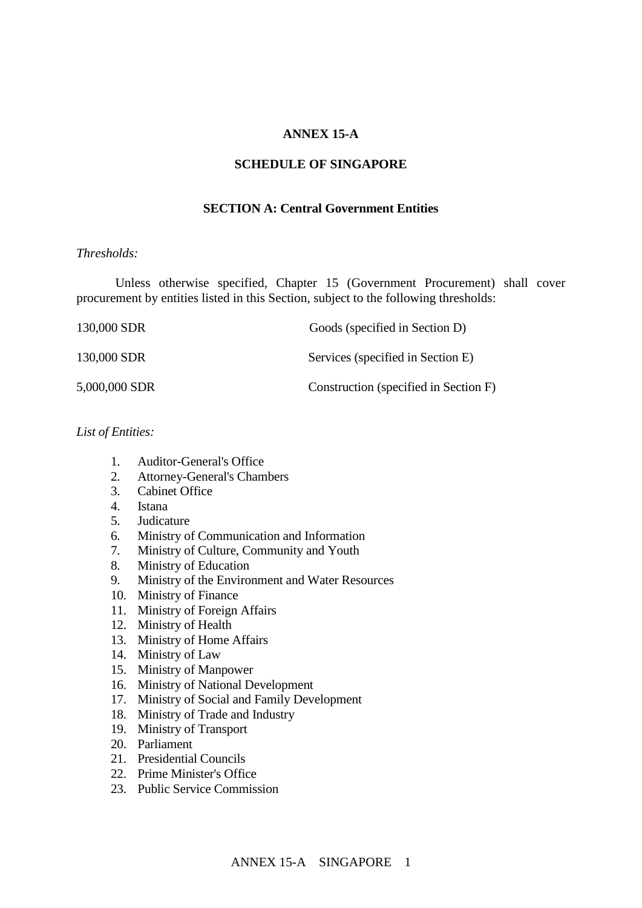## **ANNEX 15-A**

#### **SCHEDULE OF SINGAPORE**

## **SECTION A: Central Government Entities**

#### *Thresholds:*

Unless otherwise specified, Chapter 15 (Government Procurement) shall cover procurement by entities listed in this Section, subject to the following thresholds:

| 130,000 SDR   | Goods (specified in Section D)        |
|---------------|---------------------------------------|
| 130,000 SDR   | Services (specified in Section E)     |
| 5,000,000 SDR | Construction (specified in Section F) |

## *List of Entities:*

- 1. Auditor-General's Office
- 2. Attorney-General's Chambers
- 3. Cabinet Office
- 4. Istana
- 5. Judicature
- 6. Ministry of Communication and Information
- 7. Ministry of Culture, Community and Youth
- 8. Ministry of Education
- 9. Ministry of the Environment and Water Resources
- 10. Ministry of Finance
- 11. Ministry of Foreign Affairs
- 12. Ministry of Health
- 13. Ministry of Home Affairs
- 14. Ministry of Law
- 15. Ministry of Manpower
- 16. Ministry of National Development
- 17. Ministry of Social and Family Development
- 18. Ministry of Trade and Industry
- 19. Ministry of Transport
- 20. Parliament
- 21. Presidential Councils
- 22. Prime Minister's Office
- 23. Public Service Commission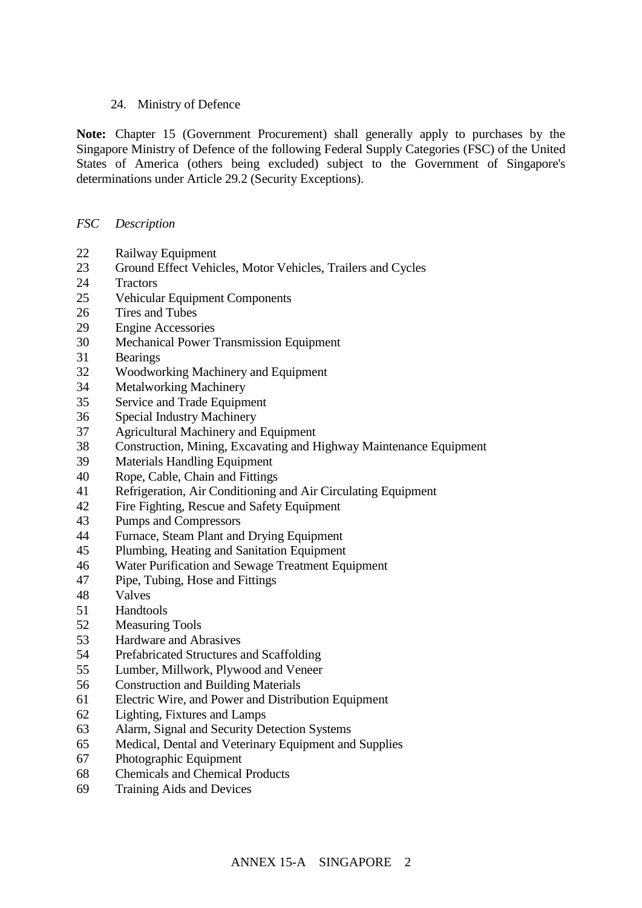## 24. Ministry of Defence

**Note:** Chapter 15 (Government Procurement) shall generally apply to purchases by the Singapore Ministry of Defence of the following Federal Supply Categories (FSC) of the United States of America (others being excluded) subject to the Government of Singapore's determinations under Article 29.2 (Security Exceptions).

## *FSC Description*

- Railway Equipment
- Ground Effect Vehicles, Motor Vehicles, Trailers and Cycles
- Tractors
- Vehicular Equipment Components
- Tires and Tubes
- Engine Accessories
- Mechanical Power Transmission Equipment
- Bearings
- Woodworking Machinery and Equipment
- Metalworking Machinery
- Service and Trade Equipment
- Special Industry Machinery
- Agricultural Machinery and Equipment
- Construction, Mining, Excavating and Highway Maintenance Equipment
- Materials Handling Equipment
- Rope, Cable, Chain and Fittings
- Refrigeration, Air Conditioning and Air Circulating Equipment
- Fire Fighting, Rescue and Safety Equipment
- Pumps and Compressors
- Furnace, Steam Plant and Drying Equipment
- Plumbing, Heating and Sanitation Equipment
- Water Purification and Sewage Treatment Equipment
- Pipe, Tubing, Hose and Fittings
- Valves
- Handtools
- Measuring Tools
- Hardware and Abrasives
- Prefabricated Structures and Scaffolding
- Lumber, Millwork, Plywood and Veneer
- Construction and Building Materials
- Electric Wire, and Power and Distribution Equipment
- Lighting, Fixtures and Lamps
- Alarm, Signal and Security Detection Systems
- Medical, Dental and Veterinary Equipment and Supplies
- Photographic Equipment
- Chemicals and Chemical Products
- Training Aids and Devices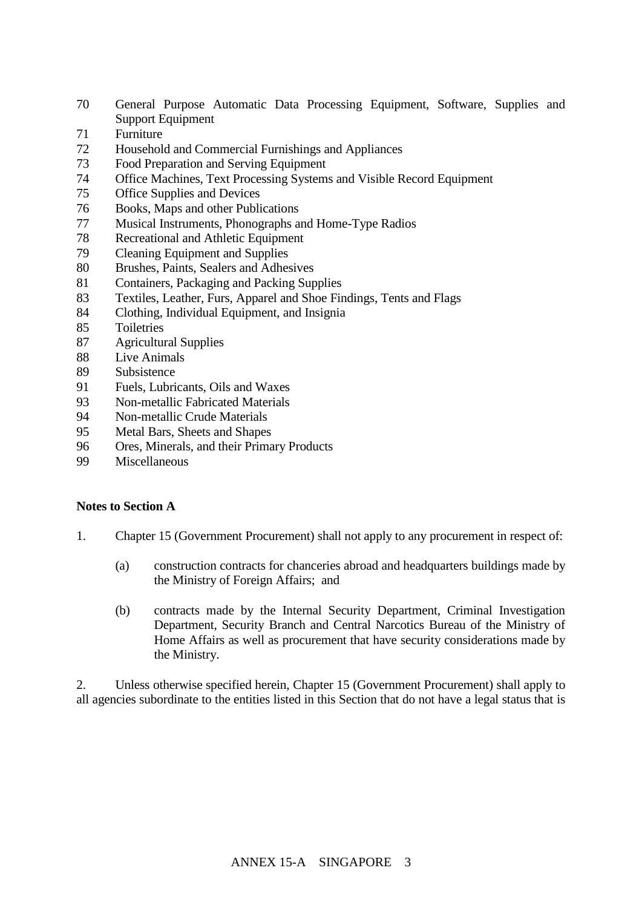- General Purpose Automatic Data Processing Equipment, Software, Supplies and Support Equipment
- Furniture
- Household and Commercial Furnishings and Appliances
- Food Preparation and Serving Equipment
- Office Machines, Text Processing Systems and Visible Record Equipment
- Office Supplies and Devices
- 76 Books, Maps and other Publications<br>77 Musical Instruments, Phonographs and
- Musical Instruments, Phonographs and Home-Type Radios
- Recreational and Athletic Equipment
- Cleaning Equipment and Supplies
- Brushes, Paints, Sealers and Adhesives
- Containers, Packaging and Packing Supplies
- Textiles, Leather, Furs, Apparel and Shoe Findings, Tents and Flags
- Clothing, Individual Equipment, and Insignia
- Toiletries
- Agricultural Supplies
- Live Animals
- Subsistence
- Fuels, Lubricants, Oils and Waxes
- Non-metallic Fabricated Materials
- Non-metallic Crude Materials
- Metal Bars, Sheets and Shapes
- Ores, Minerals, and their Primary Products
- Miscellaneous

## **Notes to Section A**

- 1. Chapter 15 (Government Procurement) shall not apply to any procurement in respect of:
	- (a) construction contracts for chanceries abroad and headquarters buildings made by the Ministry of Foreign Affairs; and
	- (b) contracts made by the Internal Security Department, Criminal Investigation Department, Security Branch and Central Narcotics Bureau of the Ministry of Home Affairs as well as procurement that have security considerations made by the Ministry.

2. Unless otherwise specified herein, Chapter 15 (Government Procurement) shall apply to all agencies subordinate to the entities listed in this Section that do not have a legal status that is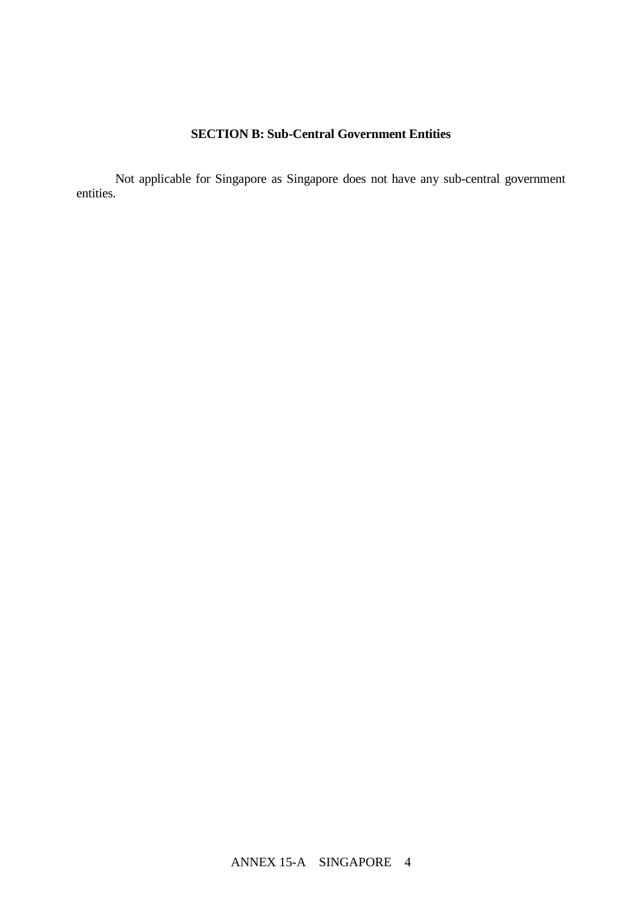# **SECTION B: Sub-Central Government Entities**

Not applicable for Singapore as Singapore does not have any sub-central government entities.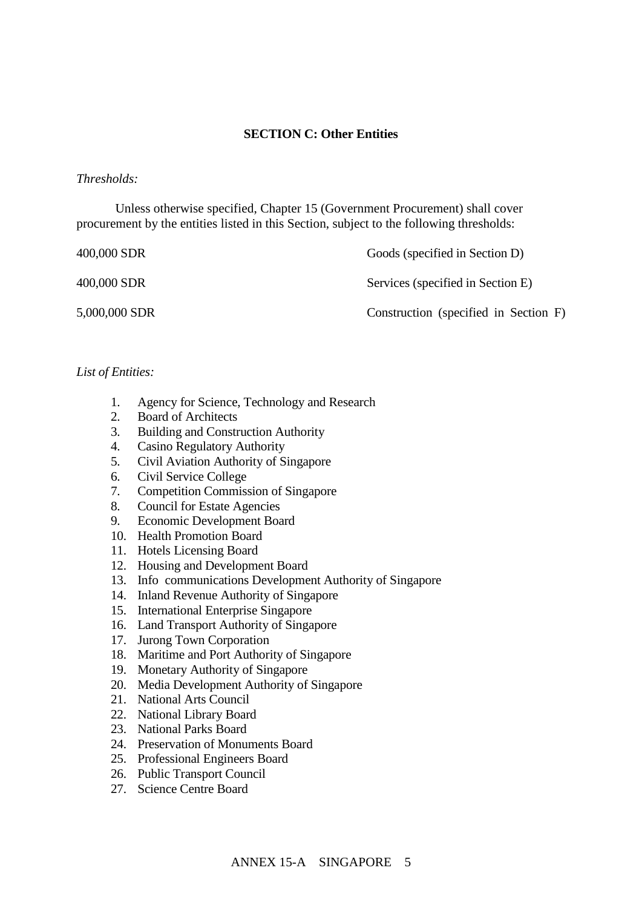## **SECTION C: Other Entities**

#### *Thresholds:*

Unless otherwise specified, Chapter 15 (Government Procurement) shall cover procurement by the entities listed in this Section, subject to the following thresholds:

400,000 SDR Goods (specified in Section D)

400,000 SDR Services (specified in Section E)

5,000,000 SDR Construction (specified in Section F)

## *List of Entities:*

- 1. Agency for Science, Technology and Research
- 2. Board of Architects
- 3. Building and Construction Authority
- 4. Casino Regulatory Authority
- 5. Civil Aviation Authority of Singapore
- 6. Civil Service College
- 7. Competition Commission of Singapore
- 8. Council for Estate Agencies
- 9. Economic Development Board
- 10. Health Promotion Board
- 11. Hotels Licensing Board
- 12. Housing and Development Board
- 13. Info communications Development Authority of Singapore
- 14. Inland Revenue Authority of Singapore
- 15. International Enterprise Singapore
- 16. Land Transport Authority of Singapore
- 17. Jurong Town Corporation
- 18. Maritime and Port Authority of Singapore
- 19. Monetary Authority of Singapore
- 20. Media Development Authority of Singapore
- 21. National Arts Council
- 22. National Library Board
- 23. National Parks Board
- 24. Preservation of Monuments Board
- 25. Professional Engineers Board
- 26. Public Transport Council
- 27. Science Centre Board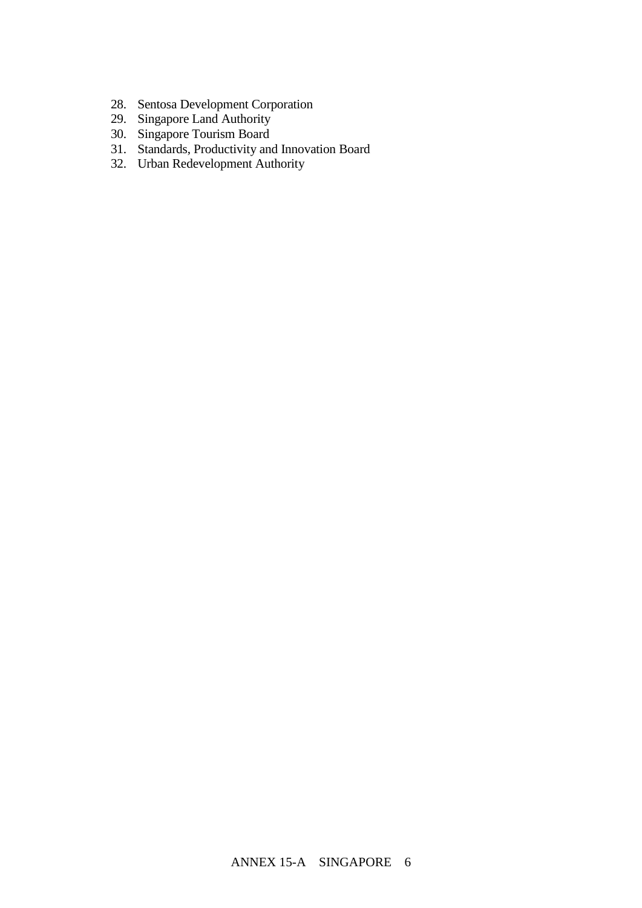- 28. Sentosa Development Corporation
- 29. Singapore Land Authority
- 30. Singapore Tourism Board
- 31. Standards, Productivity and Innovation Board
- 32. Urban Redevelopment Authority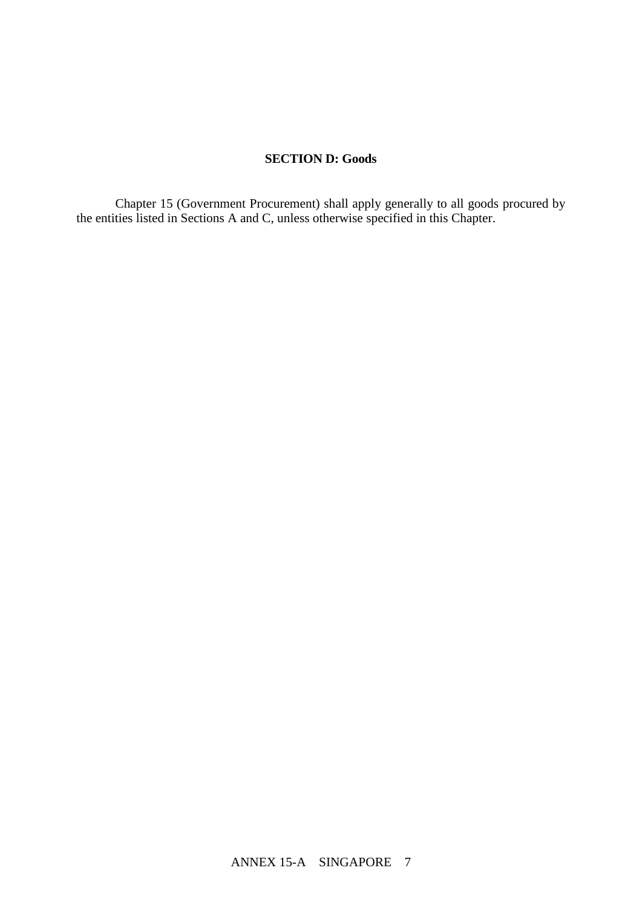## **SECTION D: Goods**

Chapter 15 (Government Procurement) shall apply generally to all goods procured by the entities listed in Sections A and C, unless otherwise specified in this Chapter.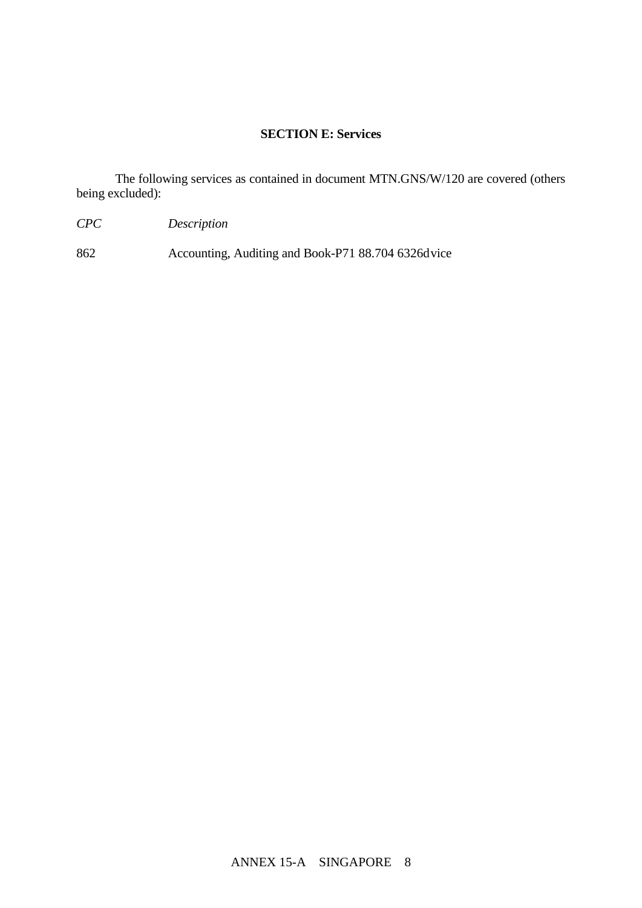## **SECTION E: Services**

The following services as contained in document MTN.GNS/W/120 are covered (others being excluded):

- *CPC Description*
- 862 Accounting, Auditing and Book-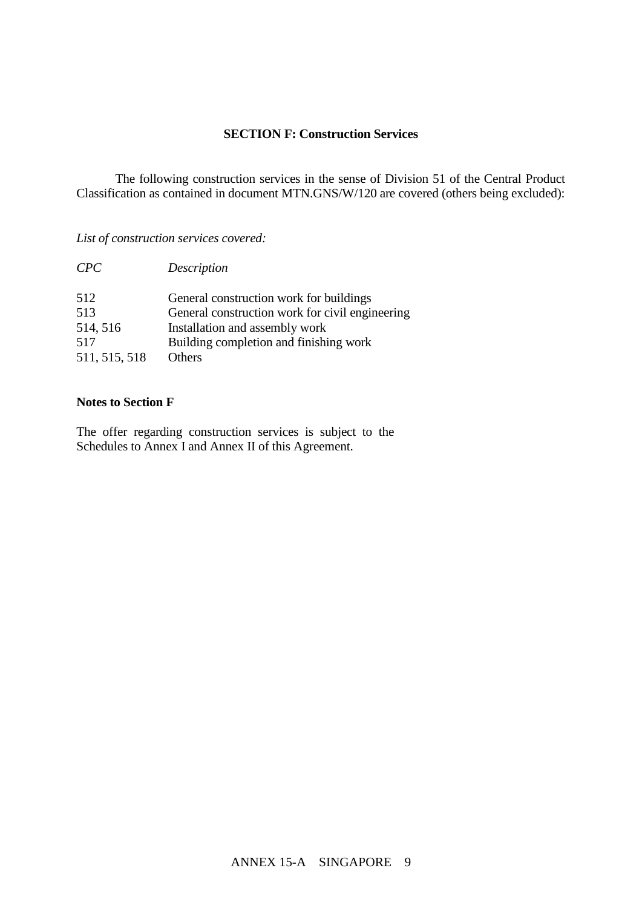## **SECTION F: Construction Services**

The following construction services in the sense of Division 51 of the Central Product Classification as contained in document MTN.GNS/W/120 are covered (others being excluded):

*List of construction services covered:*

| CPC           | Description                                     |
|---------------|-------------------------------------------------|
| 512           | General construction work for buildings         |
| 513           | General construction work for civil engineering |
| 514, 516      | Installation and assembly work                  |
| 517           | Building completion and finishing work          |
| 511, 515, 518 | <b>Others</b>                                   |

## **Notes to Section F**

The offer regarding construction services is subject to the Schedules to Annex I and Annex II of this Agreement.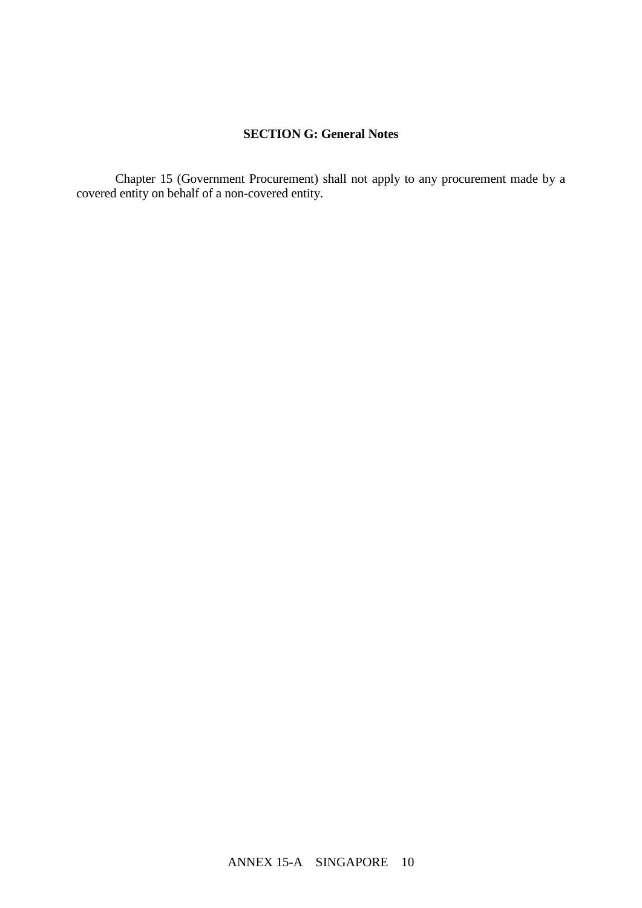# **SECTION G: General Notes**

Chapter 15 (Government Procurement) shall not apply to any procurement made by a covered entity on behalf of a non-covered entity.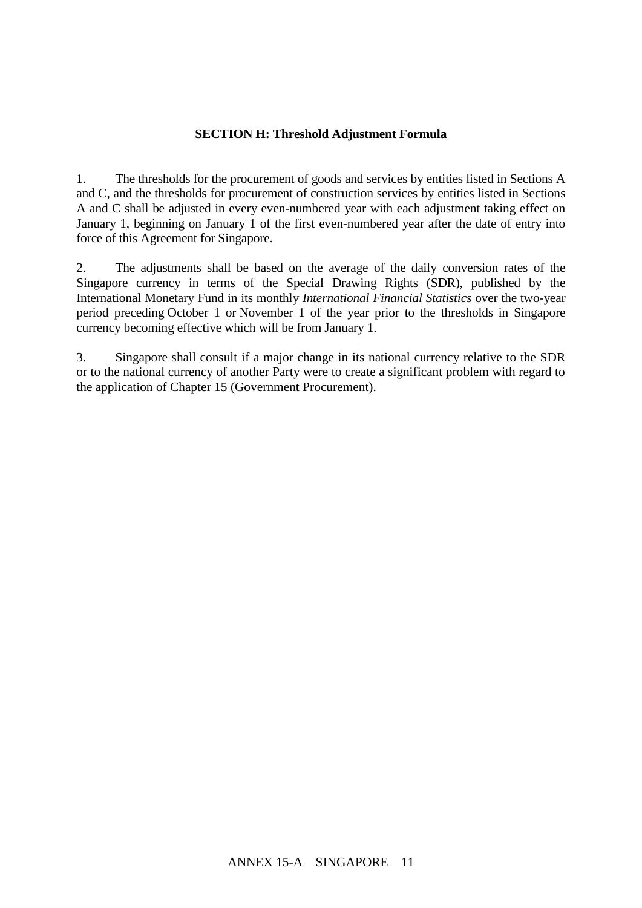## **SECTION H: Threshold Adjustment Formula**

1. The thresholds for the procurement of goods and services by entities listed in Sections A and C, and the thresholds for procurement of construction services by entities listed in Sections A and C shall be adjusted in every even-numbered year with each adjustment taking effect on January 1, beginning on January 1 of the first even-numbered year after the date of entry into force of this Agreement for Singapore.

2. The adjustments shall be based on the average of the daily conversion rates of the Singapore currency in terms of the Special Drawing Rights (SDR), published by the International Monetary Fund in its monthly *International Financial Statistics* over the two-year period preceding October 1 or November 1 of the year prior to the thresholds in Singapore currency becoming effective which will be from January 1.

3. Singapore shall consult if a major change in its national currency relative to the SDR or to the national currency of another Party were to create a significant problem with regard to the application of Chapter 15 (Government Procurement).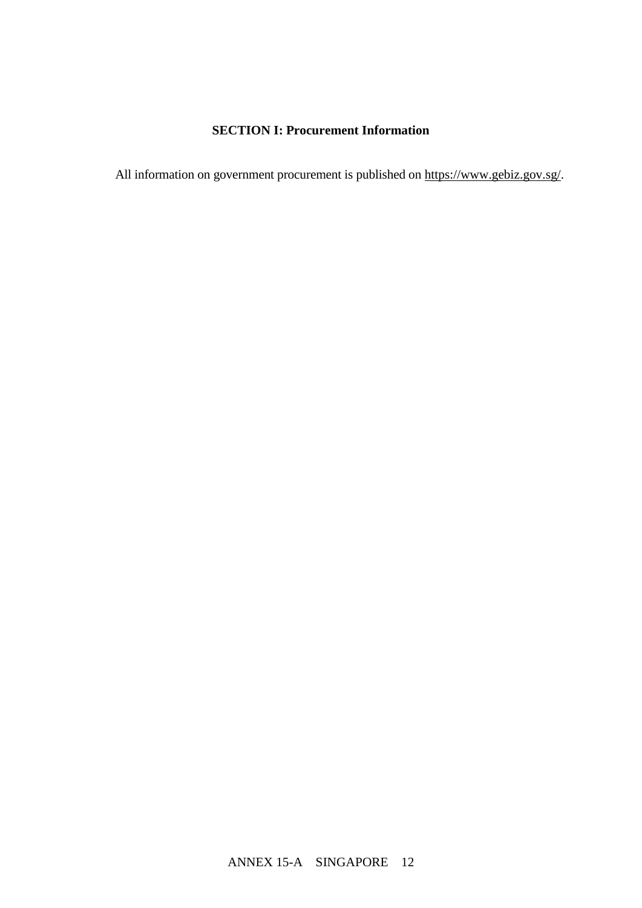# **SECTION I: Procurement Information**

All information on government procurement is published on [https://www.gebiz.gov.sg/.](https://www.gebiz.gov.sg/)